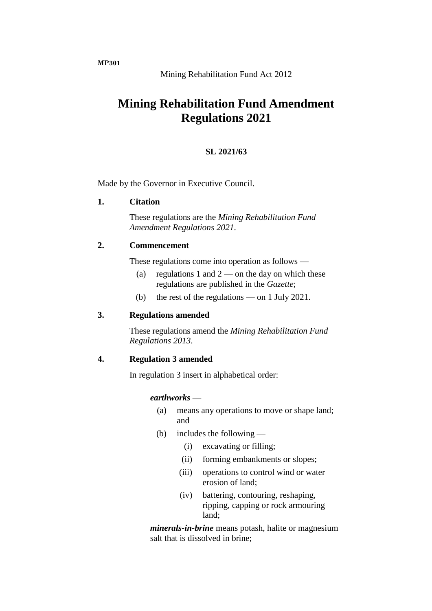**MP301**

# Mining Rehabilitation Fund Act 2012

# **Mining Rehabilitation Fund Amendment Regulations 2021**

# **SL 2021/63**

Made by the Governor in Executive Council.

## **1. Citation**

These regulations are the *Mining Rehabilitation Fund Amendment Regulations 2021*.

# **2. Commencement**

These regulations come into operation as follows —

- (a) regulations 1 and  $2$  on the day on which these regulations are published in the *Gazette*;
- (b) the rest of the regulations on 1 July 2021.

# **3. Regulations amended**

These regulations amend the *Mining Rehabilitation Fund Regulations 2013*.

#### **4. Regulation 3 amended**

In regulation 3 insert in alphabetical order:

#### *earthworks* —

- (a) means any operations to move or shape land; and
- (b) includes the following
	- (i) excavating or filling;
	- (ii) forming embankments or slopes;
	- (iii) operations to control wind or water erosion of land;
	- (iv) battering, contouring, reshaping, ripping, capping or rock armouring land;

*minerals-in-brine* means potash, halite or magnesium salt that is dissolved in brine;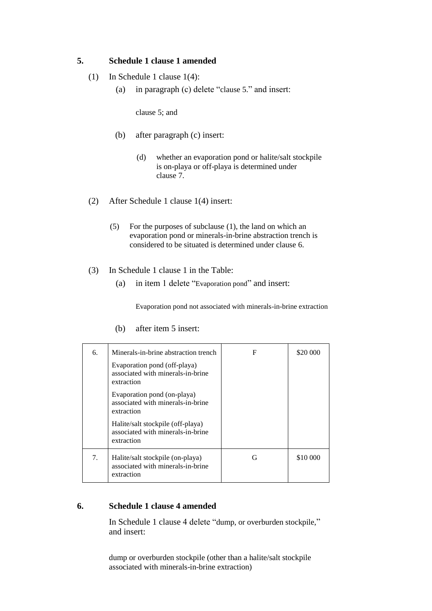# **5. Schedule 1 clause 1 amended**

- (1) In Schedule 1 clause 1(4):
	- (a) in paragraph (c) delete "clause 5." and insert:

clause 5; and

- (b) after paragraph (c) insert:
	- (d) whether an evaporation pond or halite/salt stockpile is on-playa or off-playa is determined under clause 7.
- (2) After Schedule 1 clause 1(4) insert:
	- (5) For the purposes of subclause (1), the land on which an evaporation pond or minerals-in-brine abstraction trench is considered to be situated is determined under clause 6.
- (3) In Schedule 1 clause 1 in the Table:
	- (a) in item 1 delete "Evaporation pond" and insert:

Evaporation pond not associated with minerals-in-brine extraction

| 6. | Minerals-in-brine abstraction trench                                                 | F | \$20 000 |
|----|--------------------------------------------------------------------------------------|---|----------|
|    | Evaporation pond (off-playa)<br>associated with minerals-in-brine<br>extraction      |   |          |
|    | Evaporation pond (on-playa)<br>associated with minerals-in-brine<br>extraction       |   |          |
|    | Halite/salt stockpile (off-playa)<br>associated with minerals-in-brine<br>extraction |   |          |
| 7. | Halite/salt stockpile (on-playa)<br>associated with minerals-in-brine<br>extraction  | G | \$10 000 |

(b) after item 5 insert:

#### **6. Schedule 1 clause 4 amended**

In Schedule 1 clause 4 delete "dump, or overburden stockpile," and insert:

dump or overburden stockpile (other than a halite/salt stockpile associated with minerals-in-brine extraction)